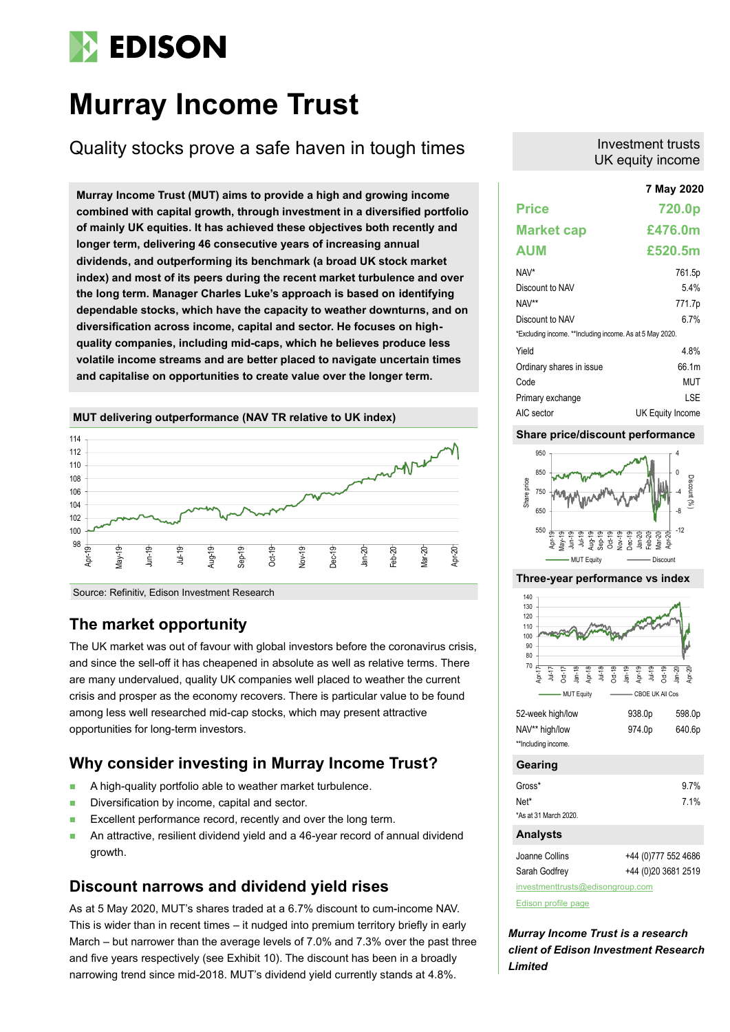# **EDISON**

# **Murray Income Trust**

Quality stocks prove a safe haven in tough times

**7 May 2020 Murray Income Trust (MUT) aims to provide a high and growing income combined with capital growth, through investment in a diversified portfolio of mainly UK equities. It has achieved these objectives both recently and longer term, delivering 46 consecutive years of increasing annual dividends, and outperforming its benchmark (a broad UK stock market index) and most of its peers during the recent market turbulence and over the long term. Manager Charles Luke's approach is based on identifying dependable stocks, which have the capacity to weather downturns, and on diversification across income, capital and sector. He focuses on highquality companies, including mid-caps, which he believes produce less volatile income streams and are better placed to navigate uncertain times and capitalise on opportunities to create value over the longer term.**



Source: Refinitiv, Edison Investment Research

## **The market opportunity**

The UK market was out of favour with global investors before the coronavirus crisis, and since the sell-off it has cheapened in absolute as well as relative terms. There are many undervalued, quality UK companies well placed to weather the current crisis and prosper as the economy recovers. There is particular value to be found among less well researched mid-cap stocks, which may present attractive opportunities for long-term investors.

## **Why consider investing in Murray Income Trust?**

- A high-quality portfolio able to weather market turbulence.
- Diversification by income, capital and sector.
- Excellent performance record, recently and over the long term.
- An attractive, resilient dividend yield and a 46-year record of annual dividend growth.

## **Discount narrows and dividend yield rises**

As at 5 May 2020, MUT's shares traded at a 6.7% discount to cum-income NAV. This is wider than in recent times – it nudged into premium territory briefly in early March – but narrower than the average levels of 7.0% and 7.3% over the past three and five years respectively (see Exhibit 10). The discount has been in a broadly narrowing trend since mid-2018. MUT's dividend yield currently stands at 4.8%.

## Investment trusts UK equity income

| 7 May 2020                                               |
|----------------------------------------------------------|
| 720.0p                                                   |
| £476.0m                                                  |
| £520.5m                                                  |
| 761.5p                                                   |
| 54%                                                      |
| 771.7p                                                   |
| 6 7%                                                     |
| *Excluding income. **Including income. As at 5 May 2020. |
| 4.8%                                                     |
| 66.1m                                                    |
| MUT                                                      |
| LSE                                                      |
| UK Equity Income                                         |
|                                                          |

## **Share price/discount performance**



## **Three-year performance vs index**



| 52-week high/low    | 938.0 <sub>p</sub> | 598.0p |
|---------------------|--------------------|--------|
| NAV** high/low      | 974.0 <sub>p</sub> | 640.6p |
| **Including income. |                    |        |

## **Gearing**

| Gross*                | 9.7% |
|-----------------------|------|
| Net*                  | 7.1% |
| *As at 31 March 2020. |      |

## **Analysts**

Joanne Collins +44 (0)777 552 4686

Sarah Godfrey +44 (0)20 3681 2519

[investmenttrusts@edisongroup.com](mailto:investmenttrusts@edisongroup.com)

[Edison profile page](https://www.edisongroup.com/company/murray-income-trust/2875/)

*Murray Income Trust is a research client of Edison Investment Research Limited*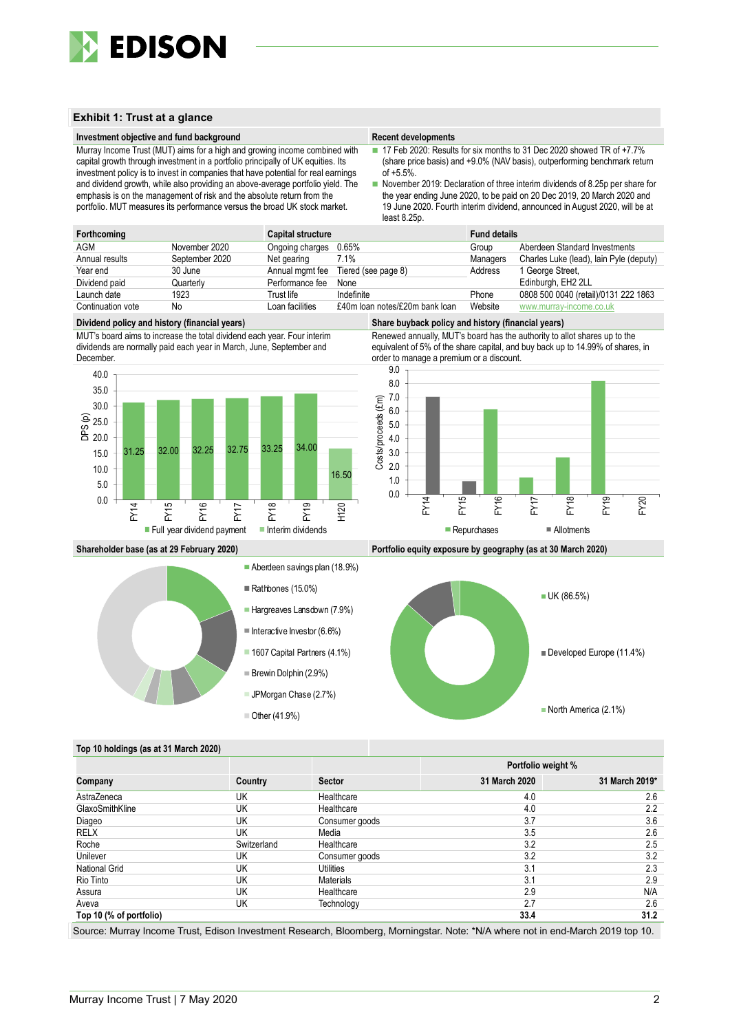

## **Exhibit 1: Trust at a glance**

### **Investment objective and fund background Recent developments Recent developments**

Murray Income Trust (MUT) aims for a high and growing income combined with capital growth through investment in a portfolio principally of UK equities. Its investment policy is to invest in companies that have potential for real earnings and dividend growth, while also providing an above-average portfolio yield. The emphasis is on the management of risk and the absolute return from the portfolio. MUT measures its performance versus the broad UK stock market.

■ 17 Feb 2020: Results for six months to 31 Dec 2020 showed TR of +7.7% (share price basis) and +9.0% (NAV basis), outperforming benchmark return  $of +5.5%$ 

■ November 2019: Declaration of three interim dividends of 8.25p per share for the year ending June 2020, to be paid on 20 Dec 2019, 20 March 2020 and 19 June 2020. Fourth interim dividend, announced in August 2020, will be at least 8.25p.

| Forthcoming       |                | <b>Capital structure</b> |                                     | <b>Fund details</b> |                                         |
|-------------------|----------------|--------------------------|-------------------------------------|---------------------|-----------------------------------------|
| <b>AGM</b>        | November 2020  | Ongoing charges 0.65%    |                                     | Group               | Aberdeen Standard Investments           |
| Annual results    | September 2020 | Net gearing              | 7.1%                                | Managers            | Charles Luke (lead), lain Pyle (deputy) |
| Year end          | 30 June        |                          | Annual mgmt fee Tiered (see page 8) | Address             | 1 George Street,                        |
| Dividend paid     | Quarterly      | Performance fee          | None                                |                     | Edinburgh, EH2 2LL                      |
| Launch date       | 1923           | Trust life               | Indefinite                          | Phone               | 0808 500 0040 (retail)/0131 222 1863    |
| Continuation vote | No             | Loan facilities          | £40m loan notes/£20m bank loan      | Website             | www.murray-income.co.uk                 |

#### **Dividend policy and history (financial years) Share buyback policy and history (financial years)**

MUT's board aims to increase the total dividend each year. Four interim dividends are normally paid each year in March, June, September and December.









**Shareholder base (as at 29 February 2020) Portfolio equity exposure by geography (as at 30 March 2020)**



### **Top 10 holdings (as at 31 March 2020)**

|                         |             |                  | Portfolio weight % |                |  |
|-------------------------|-------------|------------------|--------------------|----------------|--|
| Company                 | Country     | <b>Sector</b>    | 31 March 2020      | 31 March 2019* |  |
| AstraZeneca             | UK          | Healthcare       | 4.0                | 2.6            |  |
| GlaxoSmithKline         | UK          | Healthcare       | 4.0                | 2.2            |  |
| Diageo                  | UK          | Consumer goods   | 3.7                | 3.6            |  |
| RELX                    | UK          | Media            | 3.5                | 2.6            |  |
| Roche                   | Switzerland | Healthcare       | 3.2                | 2.5            |  |
| Unilever                | UK          | Consumer goods   | 3.2                | 3.2            |  |
| <b>National Grid</b>    | UK          | Utilities        | 3.1                | 2.3            |  |
| Rio Tinto               | UK          | <b>Materials</b> | 3.1                | 2.9            |  |
| Assura                  | UK          | Healthcare       | 2.9                | N/A            |  |
| Aveva                   | UK          | Technology       | 2.7                | 2.6            |  |
| Top 10 (% of portfolio) |             |                  | 33.4               | 31.2           |  |

Source: Murray Income Trust, Edison Investment Research, Bloomberg, Morningstar. Note: \*N/A where not in end-March 2019 top 10.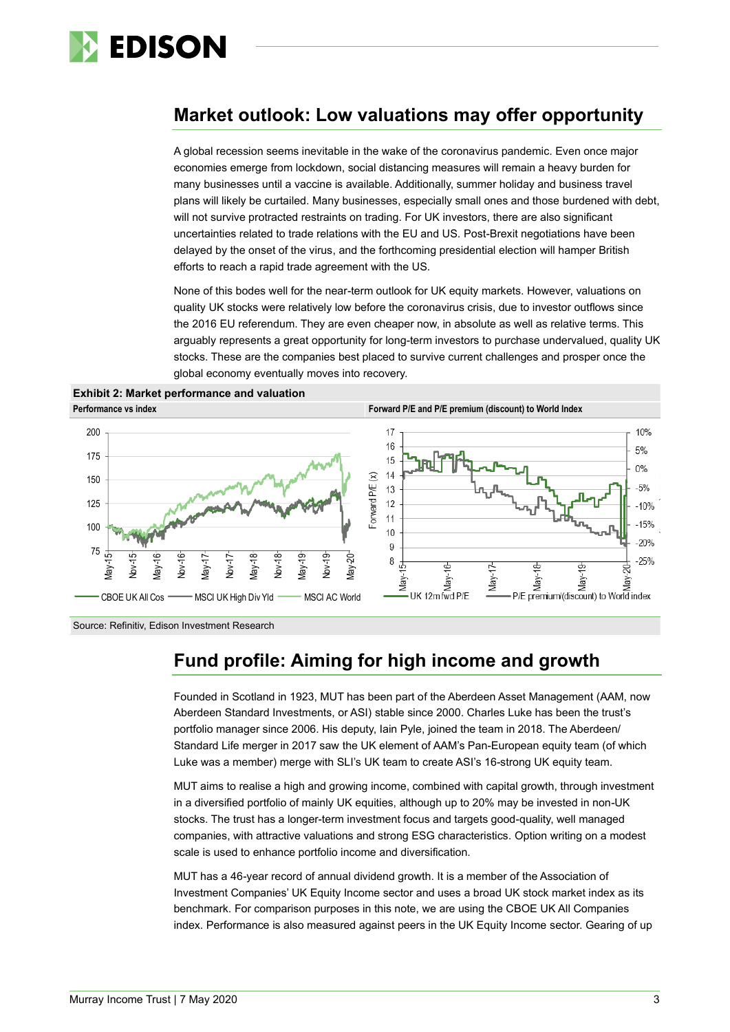

# **Market outlook: Low valuations may offer opportunity**

A global recession seems inevitable in the wake of the coronavirus pandemic. Even once major economies emerge from lockdown, social distancing measures will remain a heavy burden for many businesses until a vaccine is available. Additionally, summer holiday and business travel plans will likely be curtailed. Many businesses, especially small ones and those burdened with debt, will not survive protracted restraints on trading. For UK investors, there are also significant uncertainties related to trade relations with the EU and US. Post-Brexit negotiations have been delayed by the onset of the virus, and the forthcoming presidential election will hamper British efforts to reach a rapid trade agreement with the US.

None of this bodes well for the near-term outlook for UK equity markets. However, valuations on quality UK stocks were relatively low before the coronavirus crisis, due to investor outflows since the 2016 EU referendum. They are even cheaper now, in absolute as well as relative terms. This arguably represents a great opportunity for long-term investors to purchase undervalued, quality UK stocks. These are the companies best placed to survive current challenges and prosper once the global economy eventually moves into recovery.





Source: Refinitiv, Edison Investment Research

# **Fund profile: Aiming for high income and growth**

Founded in Scotland in 1923, MUT has been part of the Aberdeen Asset Management (AAM, now Aberdeen Standard Investments, or ASI) stable since 2000. Charles Luke has been the trust's portfolio manager since 2006. His deputy, Iain Pyle, joined the team in 2018. The Aberdeen/ Standard Life merger in 2017 saw the UK element of AAM's Pan-European equity team (of which Luke was a member) merge with SLI's UK team to create ASI's 16-strong UK equity team.

MUT aims to realise a high and growing income, combined with capital growth, through investment in a diversified portfolio of mainly UK equities, although up to 20% may be invested in non-UK stocks. The trust has a longer-term investment focus and targets good-quality, well managed companies, with attractive valuations and strong ESG characteristics. Option writing on a modest scale is used to enhance portfolio income and diversification.

MUT has a 46-year record of annual dividend growth. It is a member of the Association of Investment Companies' UK Equity Income sector and uses a broad UK stock market index as its benchmark. For comparison purposes in this note, we are using the CBOE UK All Companies index. Performance is also measured against peers in the UK Equity Income sector. Gearing of up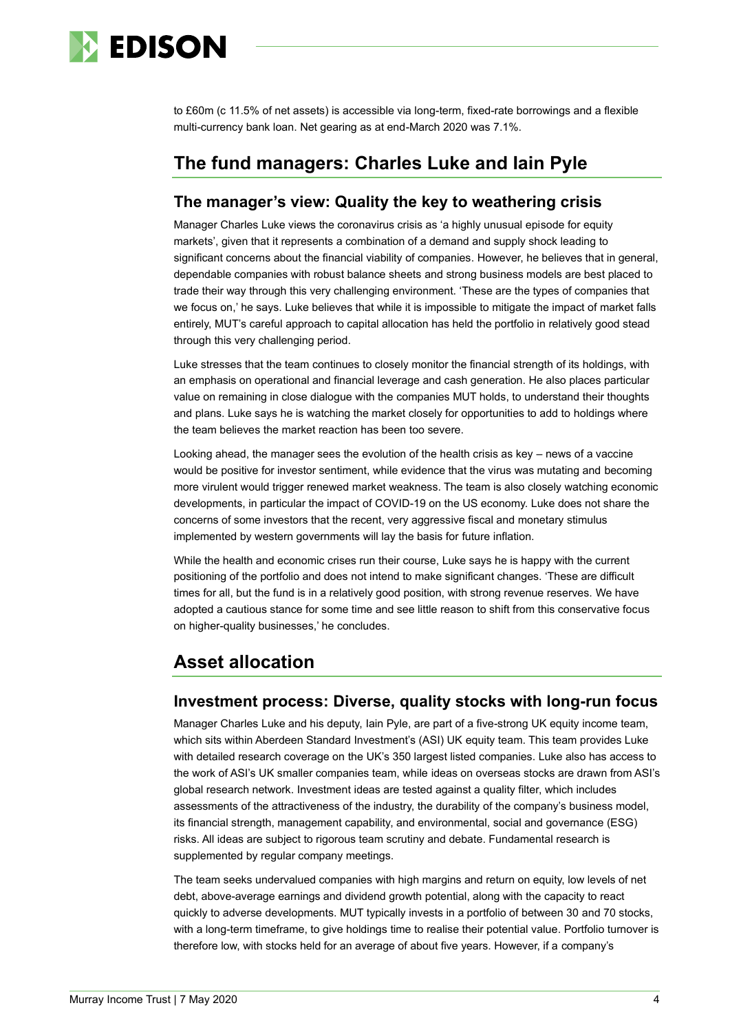

to £60m (c 11.5% of net assets) is accessible via long-term, fixed-rate borrowings and a flexible multi-currency bank loan. Net gearing as at end-March 2020 was 7.1%.

# **The fund managers: Charles Luke and Iain Pyle**

## **The manager's view: Quality the key to weathering crisis**

Manager Charles Luke views the coronavirus crisis as 'a highly unusual episode for equity markets', given that it represents a combination of a demand and supply shock leading to significant concerns about the financial viability of companies. However, he believes that in general, dependable companies with robust balance sheets and strong business models are best placed to trade their way through this very challenging environment. 'These are the types of companies that we focus on,' he says. Luke believes that while it is impossible to mitigate the impact of market falls entirely, MUT's careful approach to capital allocation has held the portfolio in relatively good stead through this very challenging period.

Luke stresses that the team continues to closely monitor the financial strength of its holdings, with an emphasis on operational and financial leverage and cash generation. He also places particular value on remaining in close dialogue with the companies MUT holds, to understand their thoughts and plans. Luke says he is watching the market closely for opportunities to add to holdings where the team believes the market reaction has been too severe.

Looking ahead, the manager sees the evolution of the health crisis as key – news of a vaccine would be positive for investor sentiment, while evidence that the virus was mutating and becoming more virulent would trigger renewed market weakness. The team is also closely watching economic developments, in particular the impact of COVID-19 on the US economy. Luke does not share the concerns of some investors that the recent, very aggressive fiscal and monetary stimulus implemented by western governments will lay the basis for future inflation.

While the health and economic crises run their course, Luke says he is happy with the current positioning of the portfolio and does not intend to make significant changes. 'These are difficult times for all, but the fund is in a relatively good position, with strong revenue reserves. We have adopted a cautious stance for some time and see little reason to shift from this conservative focus on higher-quality businesses,' he concludes.

# **Asset allocation**

## **Investment process: Diverse, quality stocks with long-run focus**

Manager Charles Luke and his deputy, Iain Pyle, are part of a five-strong UK equity income team, which sits within Aberdeen Standard Investment's (ASI) UK equity team. This team provides Luke with detailed research coverage on the UK's 350 largest listed companies. Luke also has access to the work of ASI's UK smaller companies team, while ideas on overseas stocks are drawn from ASI's global research network. Investment ideas are tested against a quality filter, which includes assessments of the attractiveness of the industry, the durability of the company's business model, its financial strength, management capability, and environmental, social and governance (ESG) risks. All ideas are subject to rigorous team scrutiny and debate. Fundamental research is supplemented by regular company meetings.

The team seeks undervalued companies with high margins and return on equity, low levels of net debt, above-average earnings and dividend growth potential, along with the capacity to react quickly to adverse developments. MUT typically invests in a portfolio of between 30 and 70 stocks, with a long-term timeframe, to give holdings time to realise their potential value. Portfolio turnover is therefore low, with stocks held for an average of about five years. However, if a company's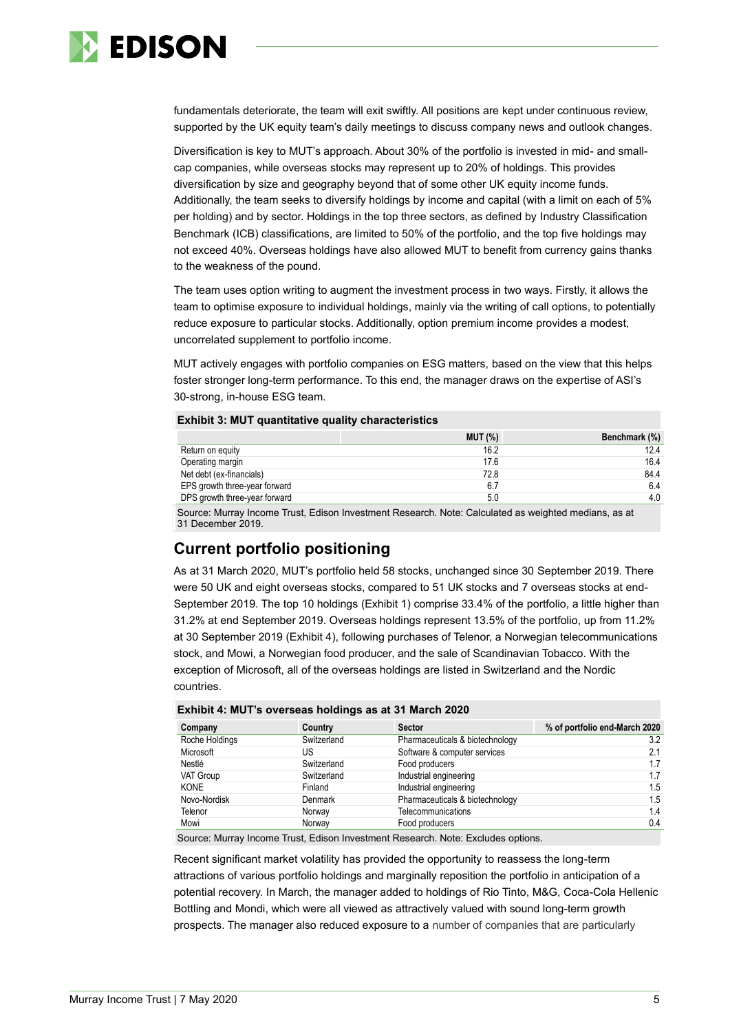

fundamentals deteriorate, the team will exit swiftly. All positions are kept under continuous review, supported by the UK equity team's daily meetings to discuss company news and outlook changes.

Diversification is key to MUT's approach. About 30% of the portfolio is invested in mid- and smallcap companies, while overseas stocks may represent up to 20% of holdings. This provides diversification by size and geography beyond that of some other UK equity income funds. Additionally, the team seeks to diversify holdings by income and capital (with a limit on each of 5% per holding) and by sector. Holdings in the top three sectors, as defined by Industry Classification Benchmark (ICB) classifications, are limited to 50% of the portfolio, and the top five holdings may not exceed 40%. Overseas holdings have also allowed MUT to benefit from currency gains thanks to the weakness of the pound.

The team uses option writing to augment the investment process in two ways. Firstly, it allows the team to optimise exposure to individual holdings, mainly via the writing of call options, to potentially reduce exposure to particular stocks. Additionally, option premium income provides a modest, uncorrelated supplement to portfolio income.

MUT actively engages with portfolio companies on ESG matters, based on the view that this helps foster stronger long-term performance. To this end, the manager draws on the expertise of ASI's 30-strong, in-house ESG team.

### **Exhibit 3: MUT quantitative quality characteristics**

|                               | <b>MUT (%)</b> | Benchmark (%) |
|-------------------------------|----------------|---------------|
| Return on equity              | 16.2           | 12.4          |
| Operating margin              | 17.6           | 16.4          |
| Net debt (ex-financials)      | 72.8           | 84.4          |
| EPS growth three-year forward | 6.7            | 6.4           |
| DPS growth three-year forward | 5.0            | 4.0           |
|                               |                |               |

Source: Murray Income Trust, Edison Investment Research. Note: Calculated as weighted medians, as at 31 December 2019.

## **Current portfolio positioning**

As at 31 March 2020, MUT's portfolio held 58 stocks, unchanged since 30 September 2019. There were 50 UK and eight overseas stocks, compared to 51 UK stocks and 7 overseas stocks at end-September 2019. The top 10 holdings (Exhibit 1) comprise 33.4% of the portfolio, a little higher than 31.2% at end September 2019. Overseas holdings represent 13.5% of the portfolio, up from 11.2% at 30 September 2019 (Exhibit 4), following purchases of Telenor, a Norwegian telecommunications stock, and Mowi, a Norwegian food producer, and the sale of Scandinavian Tobacco. With the exception of Microsoft, all of the overseas holdings are listed in Switzerland and the Nordic countries.

| Company        | Country     | <b>Sector</b>                   | % of portfolio end-March 2020 |
|----------------|-------------|---------------------------------|-------------------------------|
| Roche Holdings | Switzerland | Pharmaceuticals & biotechnology | 3.2                           |
| Microsoft      | US          | Software & computer services    | 2.1                           |
| Nestlé         | Switzerland | Food producers                  | 1.7                           |
| VAT Group      | Switzerland | Industrial engineering          | 1.7                           |
| <b>KONE</b>    | Finland     | Industrial engineering          | 1.5                           |
| Novo-Nordisk   | Denmark     | Pharmaceuticals & biotechnology | 1.5                           |
| Telenor        | Norway      | Telecommunications              | 1.4                           |
| Mowi           | Norway      | Food producers                  | 0.4                           |

## **Exhibit 4: MUT's overseas holdings as at 31 March 2020**

Source: Murray Income Trust, Edison Investment Research. Note: Excludes options.

Recent significant market volatility has provided the opportunity to reassess the long-term attractions of various portfolio holdings and marginally reposition the portfolio in anticipation of a potential recovery. In March, the manager added to holdings of Rio Tinto, M&G, Coca-Cola Hellenic Bottling and Mondi, which were all viewed as attractively valued with sound long-term growth prospects. The manager also reduced exposure to a number of companies that are particularly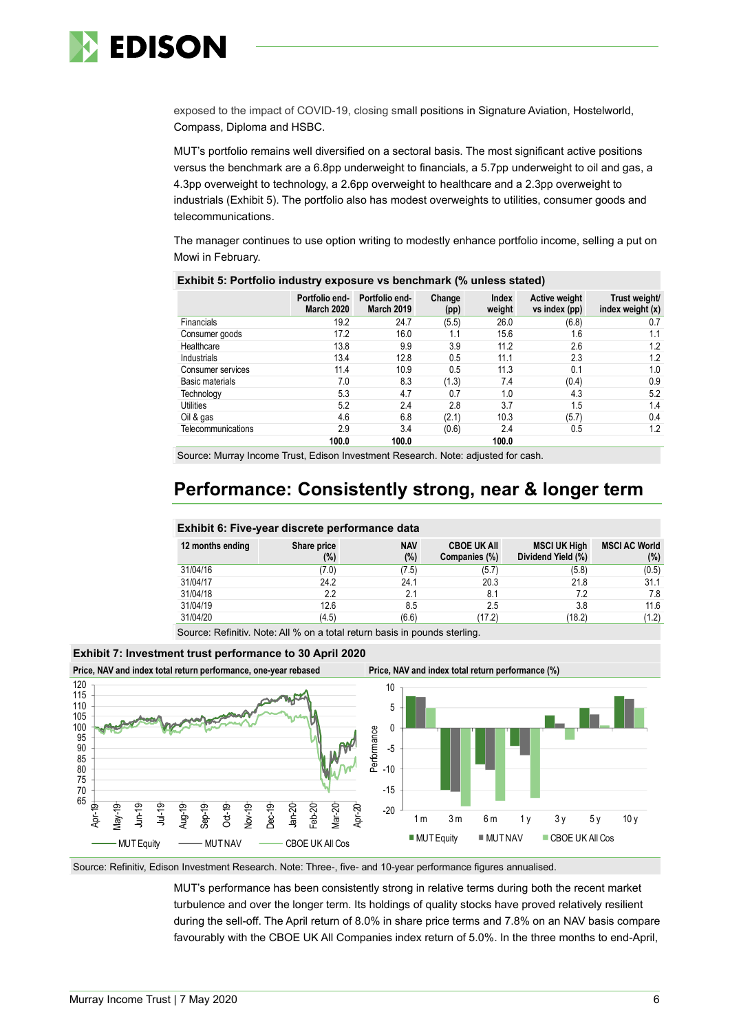

exposed to the impact of COVID-19, closing small positions in Signature Aviation, Hostelworld, Compass, Diploma and HSBC.

MUT's portfolio remains well diversified on a sectoral basis. The most significant active positions versus the benchmark are a 6.8pp underweight to financials, a 5.7pp underweight to oil and gas, a 4.3pp overweight to technology, a 2.6pp overweight to healthcare and a 2.3pp overweight to industrials (Exhibit 5). The portfolio also has modest overweights to utilities, consumer goods and telecommunications.

The manager continues to use option writing to modestly enhance portfolio income, selling a put on Mowi in February.

|                    | Portfolio end-<br><b>March 2020</b> | Portfolio end-<br><b>March 2019</b> | Change<br>(pp) | <b>Index</b><br>weight | Active weight<br>vs index (pp) | Trust weight/<br>index weight $(x)$ |
|--------------------|-------------------------------------|-------------------------------------|----------------|------------------------|--------------------------------|-------------------------------------|
| Financials         | 19.2                                | 24.7                                | (5.5)          | 26.0                   | (6.8)                          | 0.7                                 |
| Consumer goods     | 17.2                                | 16.0                                | 1.1            | 15.6                   | 1.6                            | 1.1                                 |
| Healthcare         | 13.8                                | 9.9                                 | 3.9            | 11.2                   | 2.6                            | 1.2                                 |
| Industrials        | 13.4                                | 12.8                                | 0.5            | 11.1                   | 2.3                            | 1.2                                 |
| Consumer services  | 11.4                                | 10.9                                | 0.5            | 11.3                   | 0.1                            | 1.0                                 |
| Basic materials    | 7.0                                 | 8.3                                 | (1.3)          | 7.4                    | (0.4)                          | 0.9                                 |
| Technology         | 5.3                                 | 4.7                                 | 0.7            | 1.0                    | 4.3                            | 5.2                                 |
| Utilities          | 5.2                                 | 2.4                                 | 2.8            | 3.7                    | 1.5                            | 1.4                                 |
| Oil & gas          | 4.6                                 | 6.8                                 | (2.1)          | 10.3                   | (5.7)                          | 0.4                                 |
| Telecommunications | 2.9                                 | 3.4                                 | (0.6)          | 2.4                    | 0.5                            | 1.2                                 |
|                    | 100.0                               | 100.0                               |                | 100.0                  |                                |                                     |

**Exhibit 5: Portfolio industry exposure vs benchmark (% unless stated)**

Source: Murray Income Trust, Edison Investment Research. Note: adjusted for cash.

# **Performance: Consistently strong, near & longer term**

### **Exhibit 6: Five-year discrete performance data**

| 12 months ending | Share price<br>(%) | <b>NAV</b><br>$(\%)$ | <b>CBOE UK AII</b><br>Companies (%) | <b>MSCI UK High</b><br>Dividend Yield (%) | <b>MSCI AC World</b><br>(%) |
|------------------|--------------------|----------------------|-------------------------------------|-------------------------------------------|-----------------------------|
| 31/04/16         | (7.0)              | (7.5)                | (5.7)                               | (5.8)                                     | (0.5)                       |
| 31/04/17         | 24.2               | 24.1                 | 20.3                                | 21.8                                      | 31.1                        |
| 31/04/18         | 2.2                | 2.1                  | 8.1                                 | 7.2                                       | 7.8                         |
| 31/04/19         | 12.6               | 8.5                  | 2.5                                 | 3.8                                       | 11.6                        |
| 31/04/20         | (4.5)              | (6.6)                | (17.2)                              | (18.2)                                    | (1.2)                       |

Source: Refinitiv. Note: All % on a total return basis in pounds sterling.

### **Exhibit 7: Investment trust performance to 30 April 2020**



Source: Refinitiv, Edison Investment Research. Note: Three-, five- and 10-year performance figures annualised.

MUT's performance has been consistently strong in relative terms during both the recent market turbulence and over the longer term. Its holdings of quality stocks have proved relatively resilient during the sell-off. The April return of 8.0% in share price terms and 7.8% on an NAV basis compare favourably with the CBOE UK All Companies index return of 5.0%. In the three months to end-April,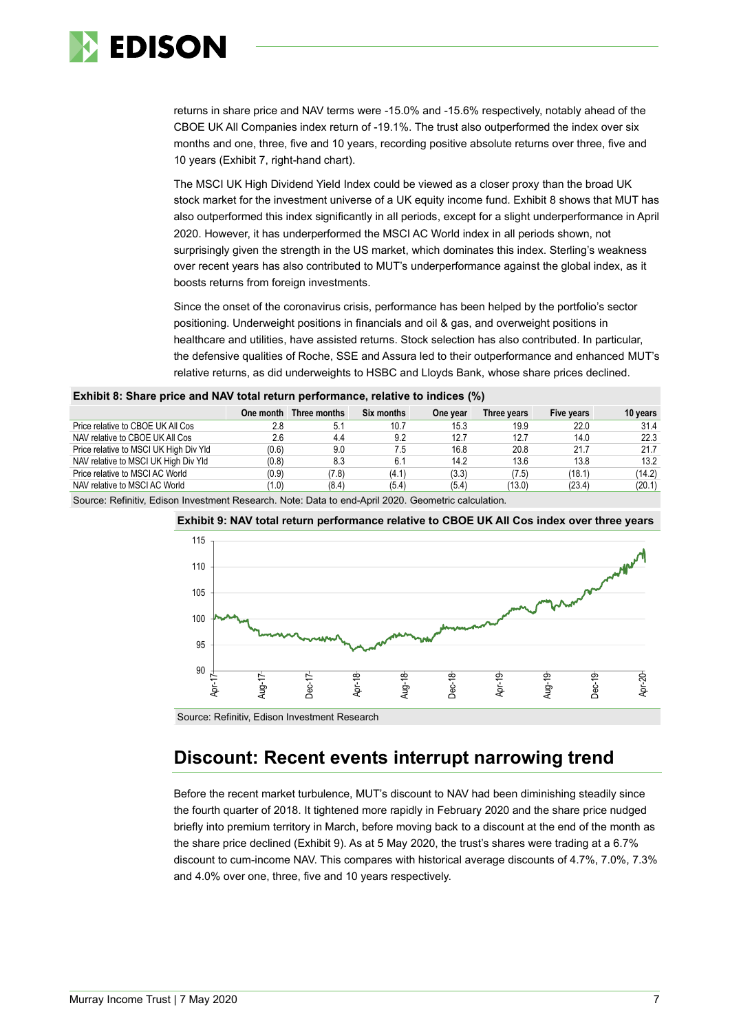

returns in share price and NAV terms were -15.0% and -15.6% respectively, notably ahead of the CBOE UK All Companies index return of -19.1%. The trust also outperformed the index over six months and one, three, five and 10 years, recording positive absolute returns over three, five and 10 years (Exhibit 7, right-hand chart).

The MSCI UK High Dividend Yield Index could be viewed as a closer proxy than the broad UK stock market for the investment universe of a UK equity income fund. Exhibit 8 shows that MUT has also outperformed this index significantly in all periods, except for a slight underperformance in April 2020. However, it has underperformed the MSCI AC World index in all periods shown, not surprisingly given the strength in the US market, which dominates this index. Sterling's weakness over recent years has also contributed to MUT's underperformance against the global index, as it boosts returns from foreign investments.

Since the onset of the coronavirus crisis, performance has been helped by the portfolio's sector positioning. Underweight positions in financials and oil & gas, and overweight positions in healthcare and utilities, have assisted returns. Stock selection has also contributed. In particular, the defensive qualities of Roche, SSE and Assura led to their outperformance and enhanced MUT's relative returns, as did underweights to HSBC and Lloyds Bank, whose share prices declined.

|                                        | One month | Three months | Six months | One year | Three vears | Five years | 10 years |
|----------------------------------------|-----------|--------------|------------|----------|-------------|------------|----------|
| Price relative to CBOE UK All Cos      | 2.8       | 5.1          | 10.7       | 15.3     | 19.9        | 22.0       | 31.4     |
| NAV relative to CBOE UK All Cos        | 2.6       | 4.4          | 9.2        | 12.7     | 12.7        | 14.0       | 22.3     |
| Price relative to MSCI UK High Div Yld | (0.6)     | 9.0          | 7.5        | 16.8     | 20.8        | 21.7       | 21.7     |
| NAV relative to MSCI UK High Div Yld   | (0.8)     | 8.3          | 6.1        | 14.2     | 13.6        | 13.8       | 13.2     |
| Price relative to MSCI AC World        | (0.9)     | (7.8)        | (4.1)      | (3.3)    | (7.5)       | (18.1)     | (14.2)   |
| NAV relative to MSCI AC World          | (1.0)     | (8.4)        | (5.4)      | (5.4)    | (13.0)      | (23.4)     | (20.1)   |

Source: Refinitiv, Edison Investment Research. Note: Data to end-April 2020. Geometric calculation.



**Exhibit 9: NAV total return performance relative to CBOE UK All Cos index over three years**

Source: Refinitiv, Edison Investment Research

# **Discount: Recent events interrupt narrowing trend**

Before the recent market turbulence, MUT's discount to NAV had been diminishing steadily since the fourth quarter of 2018. It tightened more rapidly in February 2020 and the share price nudged briefly into premium territory in March, before moving back to a discount at the end of the month as the share price declined (Exhibit 9). As at 5 May 2020, the trust's shares were trading at a 6.7% discount to cum-income NAV. This compares with historical average discounts of 4.7%, 7.0%, 7.3% and 4.0% over one, three, five and 10 years respectively.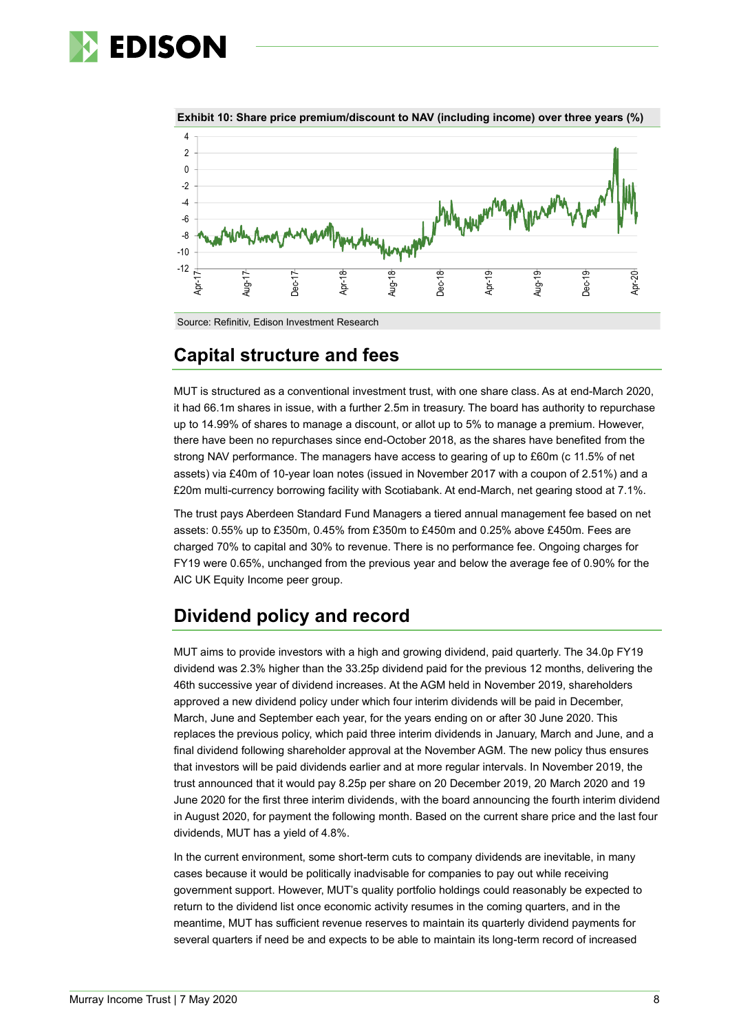# **EDISON**





# **Capital structure and fees**

MUT is structured as a conventional investment trust, with one share class. As at end-March 2020, it had 66.1m shares in issue, with a further 2.5m in treasury. The board has authority to repurchase up to 14.99% of shares to manage a discount, or allot up to 5% to manage a premium. However, there have been no repurchases since end-October 2018, as the shares have benefited from the strong NAV performance. The managers have access to gearing of up to £60m (c 11.5% of net assets) via £40m of 10-year loan notes (issued in November 2017 with a coupon of 2.51%) and a £20m multi-currency borrowing facility with Scotiabank. At end-March, net gearing stood at 7.1%.

The trust pays Aberdeen Standard Fund Managers a tiered annual management fee based on net assets: 0.55% up to £350m, 0.45% from £350m to £450m and 0.25% above £450m. Fees are charged 70% to capital and 30% to revenue. There is no performance fee. Ongoing charges for FY19 were 0.65%, unchanged from the previous year and below the average fee of 0.90% for the AIC UK Equity Income peer group.

# **Dividend policy and record**

MUT aims to provide investors with a high and growing dividend, paid quarterly. The 34.0p FY19 dividend was 2.3% higher than the 33.25p dividend paid for the previous 12 months, delivering the 46th successive year of dividend increases. At the AGM held in November 2019, shareholders approved a new dividend policy under which four interim dividends will be paid in December, March, June and September each year, for the years ending on or after 30 June 2020. This replaces the previous policy, which paid three interim dividends in January, March and June, and a final dividend following shareholder approval at the November AGM. The new policy thus ensures that investors will be paid dividends earlier and at more regular intervals. In November 2019, the trust announced that it would pay 8.25p per share on 20 December 2019, 20 March 2020 and 19 June 2020 for the first three interim dividends, with the board announcing the fourth interim dividend in August 2020, for payment the following month. Based on the current share price and the last four dividends, MUT has a yield of 4.8%.

In the current environment, some short-term cuts to company dividends are inevitable, in many cases because it would be politically inadvisable for companies to pay out while receiving government support. However, MUT's quality portfolio holdings could reasonably be expected to return to the dividend list once economic activity resumes in the coming quarters, and in the meantime, MUT has sufficient revenue reserves to maintain its quarterly dividend payments for several quarters if need be and expects to be able to maintain its long-term record of increased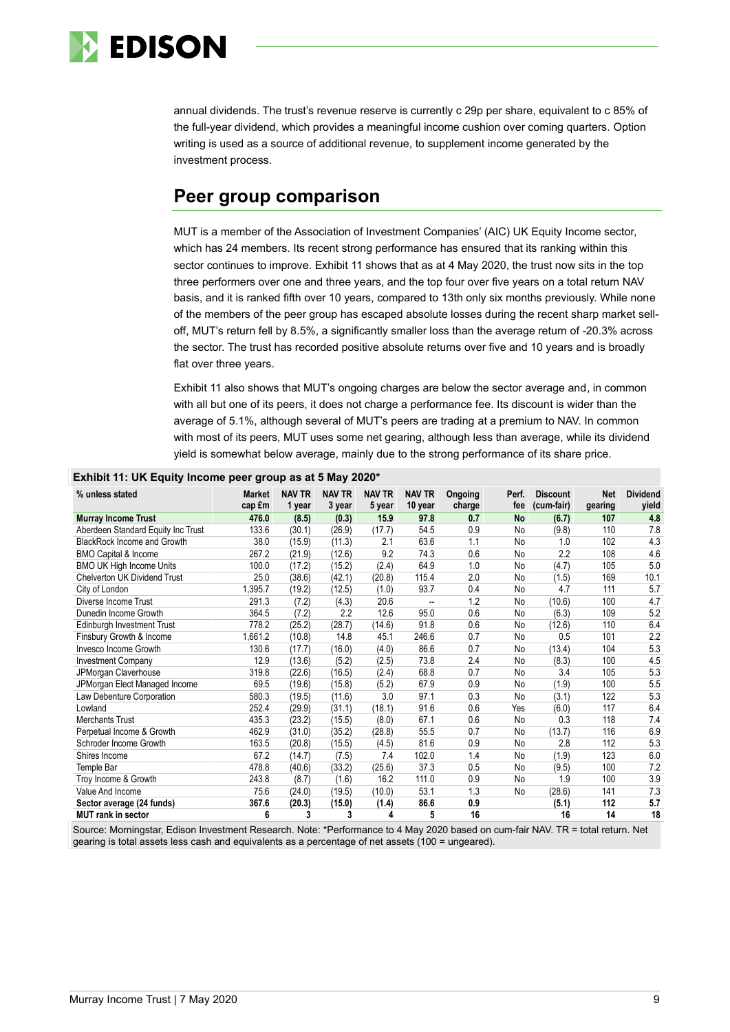

annual dividends. The trust's revenue reserve is currently c 29p per share, equivalent to c 85% of the full-year dividend, which provides a meaningful income cushion over coming quarters. Option writing is used as a source of additional revenue, to supplement income generated by the investment process.

# **Peer group comparison**

MUT is a member of the Association of Investment Companies' (AIC) UK Equity Income sector, which has 24 members. Its recent strong performance has ensured that its ranking within this sector continues to improve. Exhibit 11 shows that as at 4 May 2020, the trust now sits in the top three performers over one and three years, and the top four over five years on a total return NAV basis, and it is ranked fifth over 10 years, compared to 13th only six months previously. While none of the members of the peer group has escaped absolute losses during the recent sharp market selloff, MUT's return fell by 8.5%, a significantly smaller loss than the average return of -20.3% across the sector. The trust has recorded positive absolute returns over five and 10 years and is broadly flat over three years.

Exhibit 11 also shows that MUT's ongoing charges are below the sector average and, in common with all but one of its peers, it does not charge a performance fee. Its discount is wider than the average of 5.1%, although several of MUT's peers are trading at a premium to NAV. In common with most of its peers, MUT uses some net gearing, although less than average, while its dividend yield is somewhat below average, mainly due to the strong performance of its share price.

| % unless stated                     | <b>Market</b><br>cap £m | <b>NAV TR</b><br>1 year | <b>NAV TR</b><br>3 year | <b>NAV TR</b><br>5 year | <b>NAV TR</b><br>10 year | Ongoing<br>charge | Perf.<br>fee | <b>Discount</b><br>(cum-fair) | <b>Net</b><br>gearing | <b>Dividend</b><br>yield |
|-------------------------------------|-------------------------|-------------------------|-------------------------|-------------------------|--------------------------|-------------------|--------------|-------------------------------|-----------------------|--------------------------|
| <b>Murray Income Trust</b>          | 476.0                   | (8.5)                   | (0.3)                   | 15.9                    | 97.8                     | 0.7               | No           | (6.7)                         | 107                   | 4.8                      |
| Aberdeen Standard Equity Inc Trust  | 133.6                   | (30.1)                  | (26.9)                  | (17.7)                  | 54.5                     | 0.9               | No           | (9.8)                         | 110                   | 7.8                      |
| <b>BlackRock Income and Growth</b>  | 38.0                    | (15.9)                  | (11.3)                  | 2.1                     | 63.6                     | 1.1               | No           | 1.0                           | 102                   | 4.3                      |
| <b>BMO Capital &amp; Income</b>     | 267.2                   | (21.9)                  | (12.6)                  | 9.2                     | 74.3                     | 0.6               | No           | 2.2                           | 108                   | 4.6                      |
| <b>BMO UK High Income Units</b>     | 100.0                   | (17.2)                  | (15.2)                  | (2.4)                   | 64.9                     | 1.0               | No           | (4.7)                         | 105                   | 5.0                      |
| <b>Chelverton UK Dividend Trust</b> | 25.0                    | (38.6)                  | (42.1)                  | (20.8)                  | 115.4                    | 2.0               | No           | (1.5)                         | 169                   | 10.1                     |
| City of London                      | 1,395.7                 | (19.2)                  | (12.5)                  | (1.0)                   | 93.7                     | 0.4               | No           | 4.7                           | 111                   | 5.7                      |
| Diverse Income Trust                | 291.3                   | (7.2)                   | (4.3)                   | 20.6                    | $\overline{a}$           | 1.2               | No           | (10.6)                        | 100                   | 4.7                      |
| Dunedin Income Growth               | 364.5                   | (7.2)                   | 2.2                     | 12.6                    | 95.0                     | 0.6               | No           | (6.3)                         | 109                   | 5.2                      |
| Edinburgh Investment Trust          | 778.2                   | (25.2)                  | (28.7)                  | (14.6)                  | 91.8                     | 0.6               | No           | (12.6)                        | 110                   | 6.4                      |
| Finsbury Growth & Income            | 1,661.2                 | (10.8)                  | 14.8                    | 45.1                    | 246.6                    | 0.7               | No           | 0.5                           | 101                   | 2.2                      |
| Invesco Income Growth               | 130.6                   | (17.7)                  | (16.0)                  | (4.0)                   | 86.6                     | 0.7               | No           | (13.4)                        | 104                   | 5.3                      |
| <b>Investment Company</b>           | 12.9                    | (13.6)                  | (5.2)                   | (2.5)                   | 73.8                     | 2.4               | No           | (8.3)                         | 100                   | 4.5                      |
| JPMorgan Claverhouse                | 319.8                   | (22.6)                  | (16.5)                  | (2.4)                   | 68.8                     | 0.7               | <b>No</b>    | 3.4                           | 105                   | 5.3                      |
| JPMorgan Elect Managed Income       | 69.5                    | (19.6)                  | (15.8)                  | (5.2)                   | 67.9                     | 0.9               | No           | (1.9)                         | 100                   | 5.5                      |
| Law Debenture Corporation           | 580.3                   | (19.5)                  | (11.6)                  | 3.0                     | 97.1                     | 0.3               | No           | (3.1)                         | 122                   | 5.3                      |
| Lowland                             | 252.4                   | (29.9)                  | (31.1)                  | (18.1)                  | 91.6                     | 0.6               | Yes          | (6.0)                         | 117                   | 6.4                      |
| <b>Merchants Trust</b>              | 435.3                   | (23.2)                  | (15.5)                  | (8.0)                   | 67.1                     | 0.6               | No           | 0.3                           | 118                   | 7.4                      |
| Perpetual Income & Growth           | 462.9                   | (31.0)                  | (35.2)                  | (28.8)                  | 55.5                     | 0.7               | No           | (13.7)                        | 116                   | 6.9                      |
| Schroder Income Growth              | 163.5                   | (20.8)                  | (15.5)                  | (4.5)                   | 81.6                     | 0.9               | No           | 2.8                           | 112                   | 5.3                      |
| Shires Income                       | 67.2                    | (14.7)                  | (7.5)                   | 7.4                     | 102.0                    | 1.4               | No           | (1.9)                         | 123                   | 6.0                      |
| Temple Bar                          | 478.8                   | (40.6)                  | (33.2)                  | (25.6)                  | 37.3                     | 0.5               | No           | (9.5)                         | 100                   | 7.2                      |
| Troy Income & Growth                | 243.8                   | (8.7)                   | (1.6)                   | 16.2                    | 111.0                    | 0.9               | No           | 1.9                           | 100                   | 3.9                      |
| Value And Income                    | 75.6                    | (24.0)                  | (19.5)                  | (10.0)                  | 53.1                     | 1.3               | No           | (28.6)                        | 141                   | 7.3                      |
| Sector average (24 funds)           | 367.6                   | (20.3)                  | (15.0)                  | (1.4)                   | 86.6                     | 0.9               |              | (5.1)                         | 112                   | 5.7                      |
| MUT rank in sector                  | 6                       | 3                       | 3                       | 4                       | 5                        | 16                |              | 16                            | 14                    | 18                       |

**Exhibit 11: UK Equity Income peer group as at 5 May 2020\***

Source: Morningstar, Edison Investment Research. Note: \*Performance to 4 May 2020 based on cum-fair NAV. TR = total return. Net gearing is total assets less cash and equivalents as a percentage of net assets (100 = ungeared).